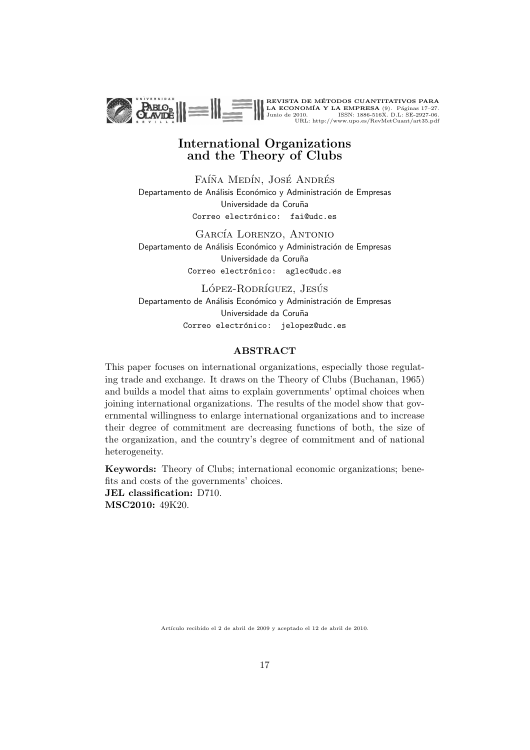

## International Organizations and the Theory of Clubs

FAÍÑA MEDÍN, JOSÉ ANDRÉS Departamento de Análisis Económico y Administración de Empresas Universidade da Coruña Correo electrónico: fai@udc.es

GARCÍA LORENZO, ANTONIO Departamento de Análisis Económico y Administración de Empresas Universidade da Coruña Correo electrónico: aglec@udc.es

LÓPEZ-RODRÍGUEZ, JESÚS Departamento de Análisis Económico y Administración de Empresas Universidade da Coruña Correo electrónico: jelopez@udc.es

#### **ABSTRACT**

This paper focuses on international organizations, especially those regulating trade and exchange. It draws on the Theory of Clubs (Buchanan, 1965) and builds a model that aims to explain governments' optimal choices when joining international organizations. The results of the model show that governmental willingness to enlarge international organizations and to increase their degree of commitment are decreasing functions of both, the size of the organization, and the country's degree of commitment and of national heterogeneity.

Keywords: Theory of Clubs; international economic organizations; benefits and costs of the governments' choices. JEL classification: D710. MSC2010: 49K20.

Artículo recibido el 2 de abril de 2009 y aceptado el 12 de abril de 2010.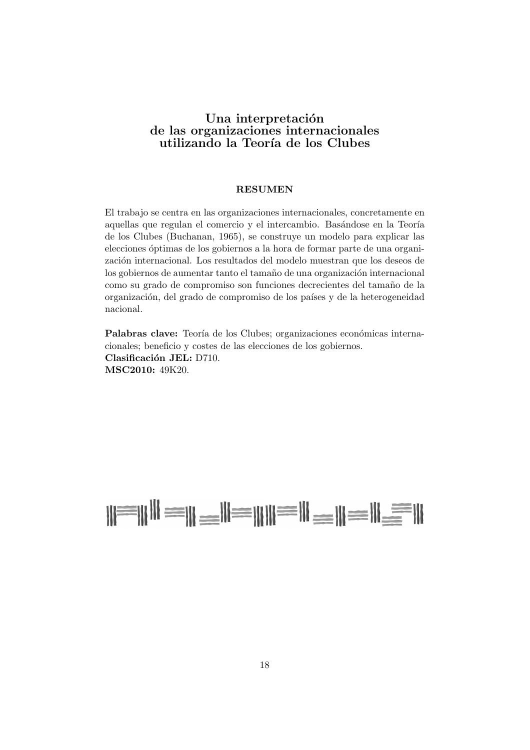### Una interpretación de las organizaciones internacionales utilizando la Teoría de los Clubes

#### RESUMEN

El trabajo se centra en las organizaciones internacionales, concretamente en aquellas que regulan el comercio y el intercambio. Basándose en la Teoría de los Clubes (Buchanan, 1965), se construye un modelo para explicar las elecciones óptimas de los gobiernos a la hora de formar parte de una organización internacional. Los resultados del modelo muestran que los deseos de los gobiernos de aumentar tanto el tamaño de una organización internacional como su grado de compromiso son funciones decrecientes del tama˜no de la organización, del grado de compromiso de los países y de la heterogeneidad nacional.

Palabras clave: Teoría de los Clubes; organizaciones económicas internacionales; beneficio y costes de las elecciones de los gobiernos. Clasificación JEL: D710. MSC2010: 49K20.

# $||\equiv|||$   $||\equiv||\equiv||\equiv||\equiv||\equiv||\equiv||$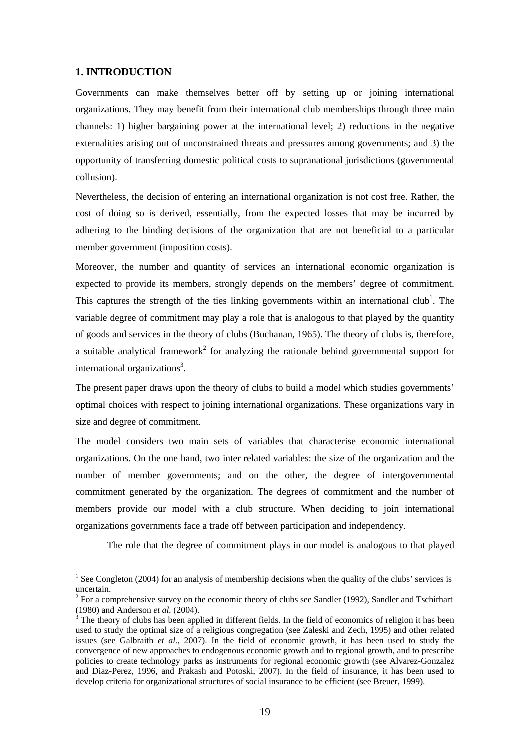#### **1. INTRODUCTION**

 $\overline{a}$ 

Governments can make themselves better off by setting up or joining international organizations. They may benefit from their international club memberships through three main channels: 1) higher bargaining power at the international level; 2) reductions in the negative externalities arising out of unconstrained threats and pressures among governments; and 3) the opportunity of transferring domestic political costs to supranational jurisdictions (governmental collusion).

Nevertheless, the decision of entering an international organization is not cost free. Rather, the cost of doing so is derived, essentially, from the expected losses that may be incurred by adhering to the binding decisions of the organization that are not beneficial to a particular member government (imposition costs).

Moreover, the number and quantity of services an international economic organization is expected to provide its members, strongly depends on the members' degree of commitment. This captures the strength of the ties linking governments within an international club<sup>1</sup>. The variable degree of commitment may play a role that is analogous to that played by the quantity of goods and services in the theory of clubs (Buchanan, 1965). The theory of clubs is, therefore, a suitable analytical framework<sup>2</sup> for analyzing the rationale behind governmental support for international organizations<sup>3</sup>.

The present paper draws upon the theory of clubs to build a model which studies governments' optimal choices with respect to joining international organizations. These organizations vary in size and degree of commitment.

The model considers two main sets of variables that characterise economic international organizations. On the one hand, two inter related variables: the size of the organization and the number of member governments; and on the other, the degree of intergovernmental commitment generated by the organization. The degrees of commitment and the number of members provide our model with a club structure. When deciding to join international organizations governments face a trade off between participation and independency.

The role that the degree of commitment plays in our model is analogous to that played

<sup>&</sup>lt;sup>1</sup> See Congleton (2004) for an analysis of membership decisions when the quality of the clubs' services is uncertain.

 $2^2$  For a comprehensive survey on the economic theory of clubs see Sandler (1992), Sandler and Tschirhart (1980) and Anderson *et al.* (2004).

The theory of clubs has been applied in different fields. In the field of economics of religion it has been used to study the optimal size of a religious congregation (see Zaleski and Zech, 1995) and other related issues (see Galbraith *et al.*, 2007). In the field of economic growth, it has been used to study the convergence of new approaches to endogenous economic growth and to regional growth, and to prescribe policies to create technology parks as instruments for regional economic growth (see Alvarez-Gonzalez and Diaz-Perez, 1996, and Prakash and Potoski, 2007). In the field of insurance, it has been used to develop criteria for organizational structures of social insurance to be efficient (see Breuer, 1999).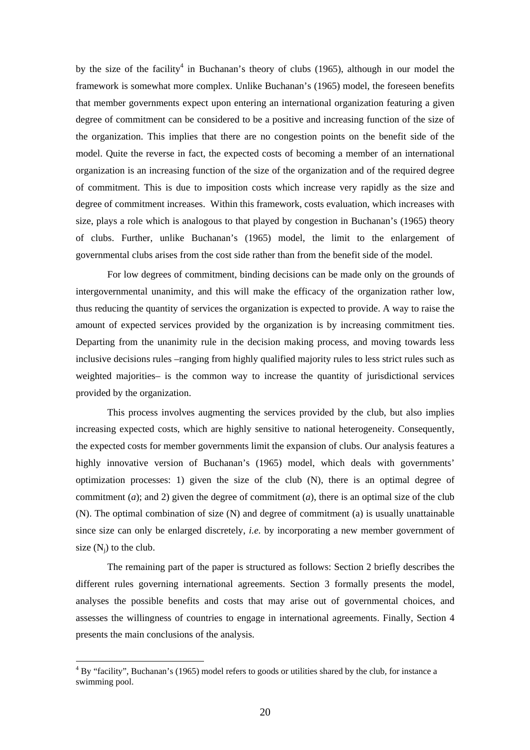by the size of the facility<sup>4</sup> in Buchanan's theory of clubs (1965), although in our model the framework is somewhat more complex. Unlike Buchanan's (1965) model, the foreseen benefits that member governments expect upon entering an international organization featuring a given degree of commitment can be considered to be a positive and increasing function of the size of the organization. This implies that there are no congestion points on the benefit side of the model. Quite the reverse in fact, the expected costs of becoming a member of an international organization is an increasing function of the size of the organization and of the required degree of commitment. This is due to imposition costs which increase very rapidly as the size and degree of commitment increases. Within this framework, costs evaluation, which increases with size, plays a role which is analogous to that played by congestion in Buchanan's (1965) theory of clubs. Further, unlike Buchanan's (1965) model, the limit to the enlargement of governmental clubs arises from the cost side rather than from the benefit side of the model.

For low degrees of commitment, binding decisions can be made only on the grounds of intergovernmental unanimity, and this will make the efficacy of the organization rather low, thus reducing the quantity of services the organization is expected to provide. A way to raise the amount of expected services provided by the organization is by increasing commitment ties. Departing from the unanimity rule in the decision making process, and moving towards less inclusive decisions rules –ranging from highly qualified majority rules to less strict rules such as weighted majorities– is the common way to increase the quantity of jurisdictional services provided by the organization.

This process involves augmenting the services provided by the club, but also implies increasing expected costs, which are highly sensitive to national heterogeneity. Consequently, the expected costs for member governments limit the expansion of clubs. Our analysis features a highly innovative version of Buchanan's (1965) model, which deals with governments' optimization processes: 1) given the size of the club  $(N)$ , there is an optimal degree of commitment (*a*); and 2) given the degree of commitment (*a*), there is an optimal size of the club (N). The optimal combination of size (N) and degree of commitment (a) is usually unattainable since size can only be enlarged discretely, *i.e.* by incorporating a new member government of size  $(N_i)$  to the club.

The remaining part of the paper is structured as follows: Section 2 briefly describes the different rules governing international agreements. Section 3 formally presents the model, analyses the possible benefits and costs that may arise out of governmental choices, and assesses the willingness of countries to engage in international agreements. Finally, Section 4 presents the main conclusions of the analysis.

 $\overline{a}$ 

 $4$  By "facility", Buchanan's (1965) model refers to goods or utilities shared by the club, for instance a swimming pool.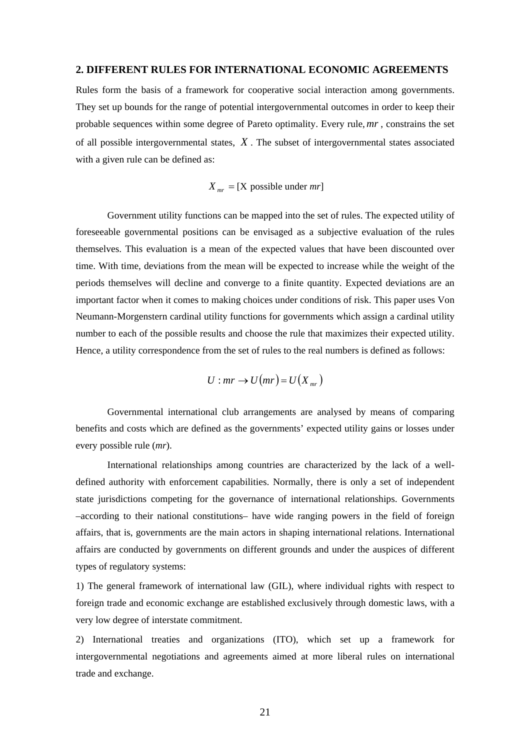#### **2. DIFFERENT RULES FOR INTERNATIONAL ECONOMIC AGREEMENTS**

Rules form the basis of a framework for cooperative social interaction among governments. They set up bounds for the range of potential intergovernmental outcomes in order to keep their probable sequences within some degree of Pareto optimality. Every rule,*mr* , constrains the set of all possible intergovernmental states, *X* . The subset of intergovernmental states associated with a given rule can be defined as:

## $X_{mr} = [X \text{ possible under } mr]$

Government utility functions can be mapped into the set of rules. The expected utility of foreseeable governmental positions can be envisaged as a subjective evaluation of the rules themselves. This evaluation is a mean of the expected values that have been discounted over time. With time, deviations from the mean will be expected to increase while the weight of the periods themselves will decline and converge to a finite quantity. Expected deviations are an important factor when it comes to making choices under conditions of risk. This paper uses Von Neumann-Morgenstern cardinal utility functions for governments which assign a cardinal utility number to each of the possible results and choose the rule that maximizes their expected utility. Hence, a utility correspondence from the set of rules to the real numbers is defined as follows:

$$
U: mr \to U(mr) = U(X_{mr})
$$

Governmental international club arrangements are analysed by means of comparing benefits and costs which are defined as the governments' expected utility gains or losses under every possible rule (*mr*).

 International relationships among countries are characterized by the lack of a welldefined authority with enforcement capabilities. Normally, there is only a set of independent state jurisdictions competing for the governance of international relationships. Governments –according to their national constitutions– have wide ranging powers in the field of foreign affairs, that is, governments are the main actors in shaping international relations. International affairs are conducted by governments on different grounds and under the auspices of different types of regulatory systems:

1) The general framework of international law (GIL), where individual rights with respect to foreign trade and economic exchange are established exclusively through domestic laws, with a very low degree of interstate commitment.

2) International treaties and organizations (ITO), which set up a framework for intergovernmental negotiations and agreements aimed at more liberal rules on international trade and exchange.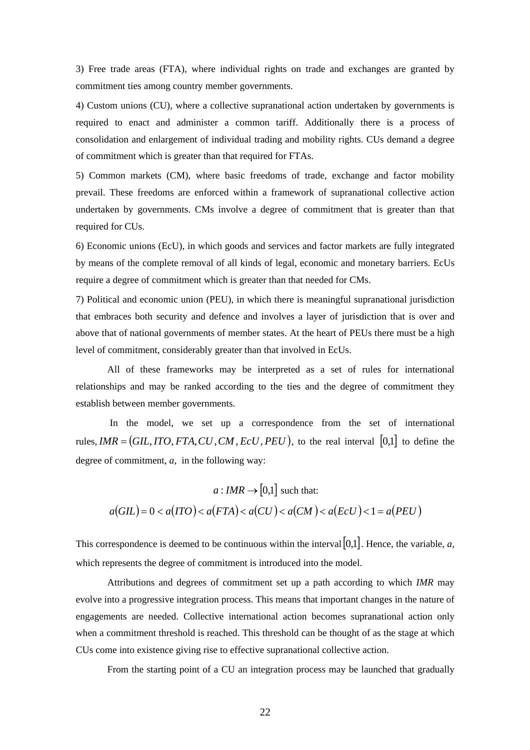3) Free trade areas (FTA), where individual rights on trade and exchanges are granted by commitment ties among country member governments.

4) Custom unions (CU), where a collective supranational action undertaken by governments is required to enact and administer a common tariff. Additionally there is a process of consolidation and enlargement of individual trading and mobility rights. CUs demand a degree of commitment which is greater than that required for FTAs.

5) Common markets (CM), where basic freedoms of trade, exchange and factor mobility prevail. These freedoms are enforced within a framework of supranational collective action undertaken by governments. CMs involve a degree of commitment that is greater than that required for CUs.

6) Economic unions (EcU), in which goods and services and factor markets are fully integrated by means of the complete removal of all kinds of legal, economic and monetary barriers. EcUs require a degree of commitment which is greater than that needed for CMs.

7) Political and economic union (PEU), in which there is meaningful supranational jurisdiction that embraces both security and defence and involves a layer of jurisdiction that is over and above that of national governments of member states. At the heart of PEUs there must be a high level of commitment, considerably greater than that involved in EcUs.

All of these frameworks may be interpreted as a set of rules for international relationships and may be ranked according to the ties and the degree of commitment they establish between member governments.

 In the model, we set up a correspondence from the set of international rules,  $IMR = (GIL, ITO, FTA, CU, CM, EcU, PEU)$ , to the real interval [0,1] to define the degree of commitment, *a*, in the following way:

$$
a: IMR \to [0,1] \text{ such that:}
$$

$$
a(GIL) = 0 < a(TTO) < a(FTA) < a(CU) < a(CM) < a(EcU) < 1 = a(PEU)
$$

This correspondence is deemed to be continuous within the interval  $[0,1]$ . Hence, the variable, *a*, which represents the degree of commitment is introduced into the model.

Attributions and degrees of commitment set up a path according to which *IMR* may evolve into a progressive integration process. This means that important changes in the nature of engagements are needed. Collective international action becomes supranational action only when a commitment threshold is reached. This threshold can be thought of as the stage at which CUs come into existence giving rise to effective supranational collective action.

From the starting point of a CU an integration process may be launched that gradually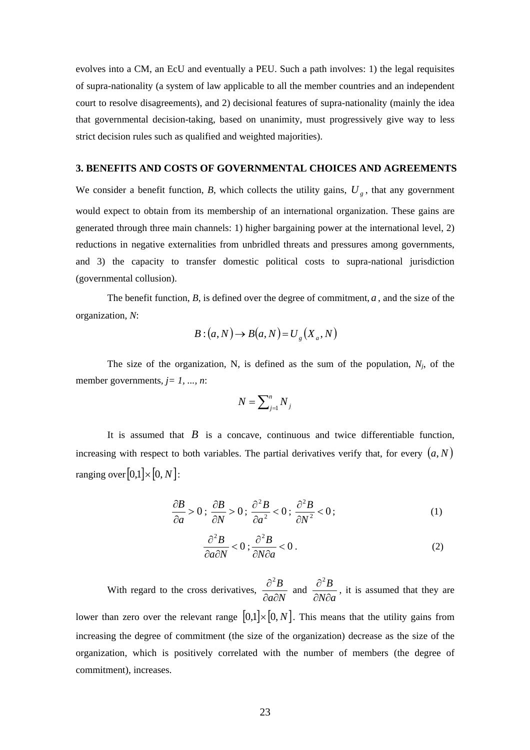evolves into a CM, an EcU and eventually a PEU. Such a path involves: 1) the legal requisites of supra-nationality (a system of law applicable to all the member countries and an independent court to resolve disagreements), and 2) decisional features of supra-nationality (mainly the idea that governmental decision-taking, based on unanimity, must progressively give way to less strict decision rules such as qualified and weighted majorities).

#### **3. BENEFITS AND COSTS OF GOVERNMENTAL CHOICES AND AGREEMENTS**

We consider a benefit function, *B*, which collects the utility gains,  $U_{g}$ , that any government would expect to obtain from its membership of an international organization. These gains are generated through three main channels: 1) higher bargaining power at the international level, 2) reductions in negative externalities from unbridled threats and pressures among governments, and 3) the capacity to transfer domestic political costs to supra-national jurisdiction (governmental collusion).

The benefit function, *B*, is defined over the degree of commitment, *a* , and the size of the organization, *N*:

$$
B: (a, N) \to B(a, N) = U_g(X_a, N)
$$

The size of the organization, N, is defined as the sum of the population,  $N_i$ , of the member governments*, j= 1, ..., n*:

$$
N=\sum\nolimits_{j=1}^n N_j
$$

It is assumed that  $\vec{B}$  is a concave, continuous and twice differentiable function, increasing with respect to both variables. The partial derivatives verify that, for every  $(a, N)$ ranging over  $[0,1] \times [0, N]$ :

$$
\frac{\partial B}{\partial a} > 0; \frac{\partial B}{\partial N} > 0; \frac{\partial^2 B}{\partial a^2} < 0; \frac{\partial^2 B}{\partial N^2} < 0; \tag{1}
$$

$$
\frac{\partial^2 B}{\partial a \partial N} < 0; \frac{\partial^2 B}{\partial N \partial a} < 0. \tag{2}
$$

With regard to the cross derivatives, *a N B* ∂ад  $\frac{\partial^2 B}{\partial x^2}$  and *N a B*  $\partial N \partial$  $\frac{\partial^2 B}{\partial x^2}$ , it is assumed that they are lower than zero over the relevant range  $[0,1] \times [0, N]$ . This means that the utility gains from increasing the degree of commitment (the size of the organization) decrease as the size of the organization, which is positively correlated with the number of members (the degree of commitment), increases.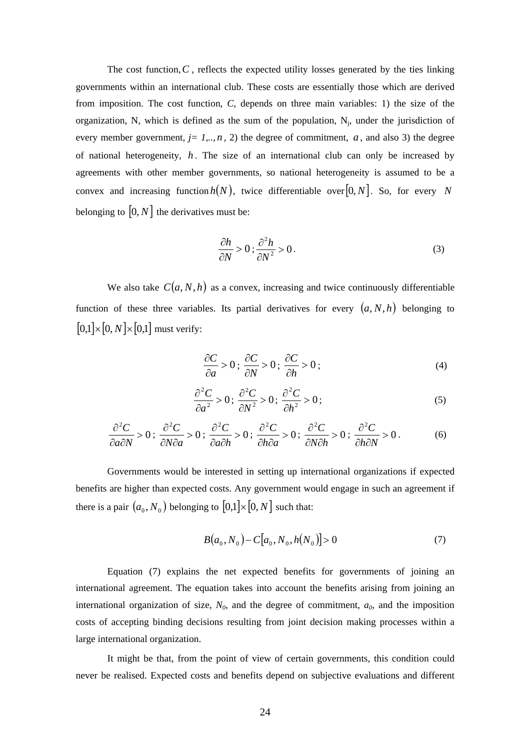The cost function,  $C$ , reflects the expected utility losses generated by the ties linking governments within an international club. These costs are essentially those which are derived from imposition. The cost function, *C*, depends on three main variables: 1) the size of the organization, N, which is defined as the sum of the population,  $N_i$ , under the jurisdiction of every member government,  $j = 1, \ldots, n$ , 2) the degree of commitment,  $a$ , and also 3) the degree of national heterogeneity,  $h$ . The size of an international club can only be increased by agreements with other member governments, so national heterogeneity is assumed to be a convex and increasing function  $h(N)$ , twice differentiable over [0, *N*]. So, for every *N* belonging to  $[0, N]$  the derivatives must be:

$$
\frac{\partial h}{\partial N} > 0; \frac{\partial^2 h}{\partial N^2} > 0.
$$
 (3)

We also take  $C(a, N, h)$  as a convex, increasing and twice continuously differentiable function of these three variables. Its partial derivatives for every  $(a, N, h)$  belonging to  $[0,1] \times [0,N] \times [0,1]$  must verify:

$$
\frac{\partial C}{\partial a} > 0; \frac{\partial C}{\partial N} > 0; \frac{\partial C}{\partial h} > 0; \tag{4}
$$

$$
\frac{\partial^2 C}{\partial a^2} > 0; \frac{\partial^2 C}{\partial N^2} > 0; \frac{\partial^2 C}{\partial h^2} > 0;
$$
\n(5)

$$
\frac{\partial^2 C}{\partial a \partial N} > 0; \frac{\partial^2 C}{\partial N \partial a} > 0; \frac{\partial^2 C}{\partial a \partial h} > 0; \frac{\partial^2 C}{\partial h \partial a} > 0; \frac{\partial^2 C}{\partial N \partial h} > 0; \frac{\partial^2 C}{\partial h \partial N} > 0.
$$
 (6)

Governments would be interested in setting up international organizations if expected benefits are higher than expected costs. Any government would engage in such an agreement if there is a pair  $(a_0, N_0)$  belonging to  $[0,1] \times [0, N]$  such that:

$$
B(a_0, N_0) - C[a_0, N_0, h(N_0)] > 0 \tag{7}
$$

Equation (7) explains the net expected benefits for governments of joining an international agreement. The equation takes into account the benefits arising from joining an international organization of size,  $N_0$ , and the degree of commitment,  $a_0$ , and the imposition costs of accepting binding decisions resulting from joint decision making processes within a large international organization.

It might be that, from the point of view of certain governments, this condition could never be realised. Expected costs and benefits depend on subjective evaluations and different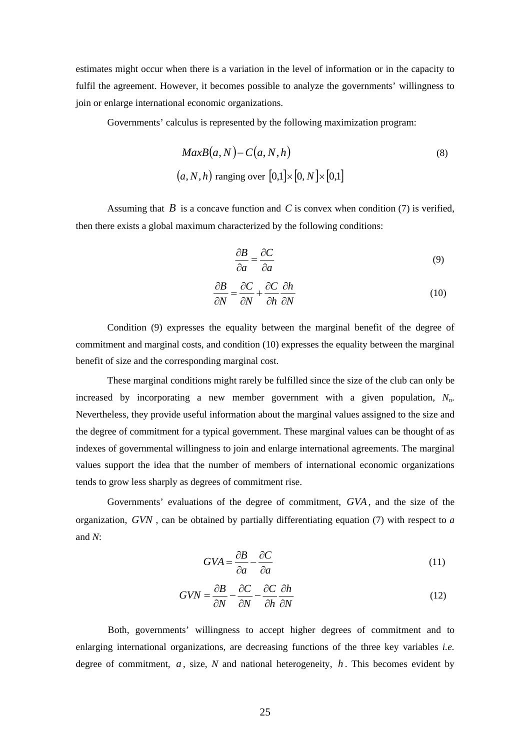estimates might occur when there is a variation in the level of information or in the capacity to fulfil the agreement. However, it becomes possible to analyze the governments' willingness to join or enlarge international economic organizations.

Governments' calculus is represented by the following maximization program:

$$
MaxB(a, N) - C(a, N, h)
$$
  
(8)  

$$
(a, N, h)
$$
 ranging over  $[0,1] \times [0, N] \times [0,1]$ 

Assuming that *B* is a concave function and *C* is convex when condition (7) is verified, then there exists a global maximum characterized by the following conditions:

$$
\frac{\partial B}{\partial a} = \frac{\partial C}{\partial a} \tag{9}
$$

$$
\frac{\partial B}{\partial N} = \frac{\partial C}{\partial N} + \frac{\partial C}{\partial h} \frac{\partial h}{\partial N}
$$
(10)

Condition (9) expresses the equality between the marginal benefit of the degree of commitment and marginal costs, and condition (10) expresses the equality between the marginal benefit of size and the corresponding marginal cost.

These marginal conditions might rarely be fulfilled since the size of the club can only be increased by incorporating a new member government with a given population,  $N_n$ . Nevertheless, they provide useful information about the marginal values assigned to the size and the degree of commitment for a typical government. These marginal values can be thought of as indexes of governmental willingness to join and enlarge international agreements. The marginal values support the idea that the number of members of international economic organizations tends to grow less sharply as degrees of commitment rise.

Governments' evaluations of the degree of commitment, *GVA*, and the size of the organization, *GVN* , can be obtained by partially differentiating equation (7) with respect to *a* and *N*:

$$
GVA = \frac{\partial B}{\partial a} - \frac{\partial C}{\partial a} \tag{11}
$$

$$
GVN = \frac{\partial B}{\partial N} - \frac{\partial C}{\partial N} - \frac{\partial C}{\partial h} \frac{\partial h}{\partial N}
$$
(12)

 Both, governments' willingness to accept higher degrees of commitment and to enlarging international organizations, are decreasing functions of the three key variables *i.e.* degree of commitment,  $a$ , size,  $N$  and national heterogeneity,  $h$ . This becomes evident by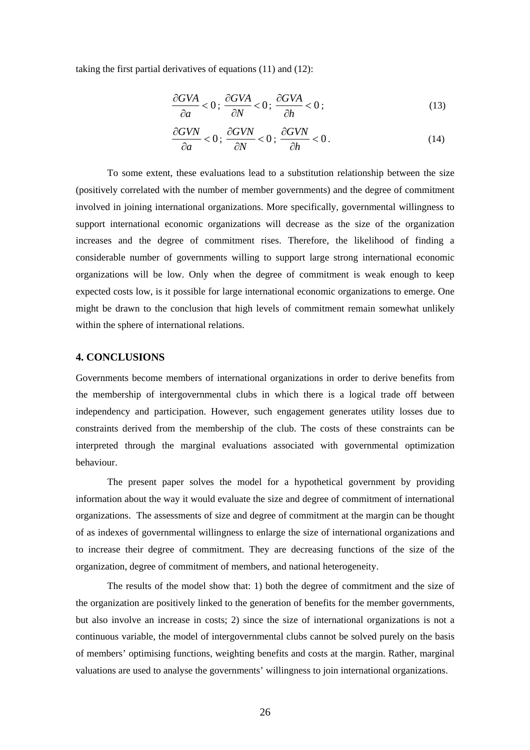taking the first partial derivatives of equations (11) and (12):

$$
\frac{\partial GVA}{\partial a} < 0; \frac{\partial GVA}{\partial N} < 0; \frac{\partial GVA}{\partial h} < 0; \tag{13}
$$

$$
\frac{\partial GVN}{\partial a} < 0; \quad \frac{\partial GVN}{\partial N} < 0; \quad \frac{\partial GVN}{\partial h} < 0. \tag{14}
$$

To some extent, these evaluations lead to a substitution relationship between the size (positively correlated with the number of member governments) and the degree of commitment involved in joining international organizations. More specifically, governmental willingness to support international economic organizations will decrease as the size of the organization increases and the degree of commitment rises. Therefore, the likelihood of finding a considerable number of governments willing to support large strong international economic organizations will be low. Only when the degree of commitment is weak enough to keep expected costs low, is it possible for large international economic organizations to emerge. One might be drawn to the conclusion that high levels of commitment remain somewhat unlikely within the sphere of international relations.

#### **4. CONCLUSIONS**

Governments become members of international organizations in order to derive benefits from the membership of intergovernmental clubs in which there is a logical trade off between independency and participation. However, such engagement generates utility losses due to constraints derived from the membership of the club. The costs of these constraints can be interpreted through the marginal evaluations associated with governmental optimization behaviour.

The present paper solves the model for a hypothetical government by providing information about the way it would evaluate the size and degree of commitment of international organizations. The assessments of size and degree of commitment at the margin can be thought of as indexes of governmental willingness to enlarge the size of international organizations and to increase their degree of commitment. They are decreasing functions of the size of the organization, degree of commitment of members, and national heterogeneity.

The results of the model show that: 1) both the degree of commitment and the size of the organization are positively linked to the generation of benefits for the member governments, but also involve an increase in costs; 2) since the size of international organizations is not a continuous variable, the model of intergovernmental clubs cannot be solved purely on the basis of members' optimising functions, weighting benefits and costs at the margin. Rather, marginal valuations are used to analyse the governments' willingness to join international organizations.